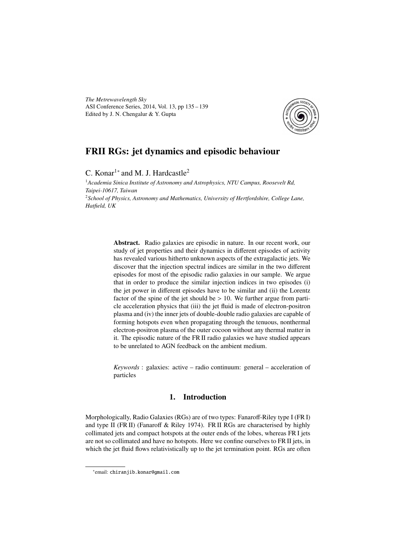*The Metrewavelength Sky* ASI Conference Series, 2014, Vol. 13, pp 135 – 139 Edited by J. N. Chengalur & Y. Gupta



# FRII RGs: jet dynamics and episodic behaviour

C. Konar<sup>1</sup><sup>\*</sup> and M. J. Hardcastle<sup>2</sup>

<sup>1</sup>*Academia Sinica Institute of Astronomy and Astrophysics, NTU Campus, Roosevelt Rd, Taipei-10617, Taiwan* <sup>2</sup>*School of Physics, Astronomy and Mathematics, University of Hertfordshire, College Lane, Hatfield, UK*

> Abstract. Radio galaxies are episodic in nature. In our recent work, our study of jet properties and their dynamics in different episodes of activity has revealed various hitherto unknown aspects of the extragalactic jets. We discover that the injection spectral indices are similar in the two different episodes for most of the episodic radio galaxies in our sample. We argue that in order to produce the similar injection indices in two episodes (i) the jet power in different episodes have to be similar and (ii) the Lorentz factor of the spine of the jet should be  $> 10$ . We further argue from particle acceleration physics that (iii) the jet fluid is made of electron-positron plasma and (iv) the inner jets of double-double radio galaxies are capable of forming hotspots even when propagating through the tenuous, nonthermal electron-positron plasma of the outer cocoon without any thermal matter in it. The episodic nature of the FR II radio galaxies we have studied appears to be unrelated to AGN feedback on the ambient medium.

> *Keywords* : galaxies: active – radio continuum: general – acceleration of particles

# 1. Introduction

Morphologically, Radio Galaxies (RGs) are of two types: Fanaroff-Riley type I (FR I) and type II (FR II) (Fanaroff & Riley 1974). FR II RGs are characterised by highly collimated jets and compact hotspots at the outer ends of the lobes, whereas FR I jets are not so collimated and have no hotspots. Here we confine ourselves to FR II jets, in which the jet fluid flows relativistically up to the jet termination point. RGs are often

<sup>∗</sup> email: chiranjib.konar@gmail.com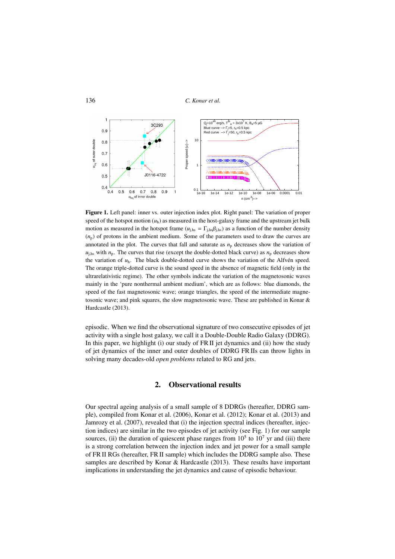```
136 C. Konar et al.
```


Figure 1. Left panel: inner vs. outer injection index plot. Right panel: The variation of proper speed of the hotspot motion  $(u<sub>h</sub>)$  as measured in the host-galaxy frame and the upstream jet bulk motion as measured in the hotspot frame ( $u_{j,hs} = \Gamma_{j,hs} \beta_{j,hs}$ ) as a function of the number density  $(n<sub>p</sub>)$  of protons in the ambient medium. Some of the parameters used to draw the curves are annotated in the plot. The curves that fall and saturate as  $n<sub>p</sub>$  decreases show the variation of  $u_{\text{j,hs}}$  with  $n_{\text{p}}$ . The curves that rise (except the double-dotted black curve) as  $n_{\text{p}}$  decreases show the variation of *u*h. The black double-dotted curve shows the variation of the Alfvén speed. The orange triple-dotted curve is the sound speed in the absence of magnetic field (only in the ultrarelativistic regime). The other symbols indicate the variation of the magnetosonic waves mainly in the 'pure nonthermal ambient medium', which are as follows: blue diamonds, the speed of the fast magnetosonic wave; orange triangles, the speed of the intermediate magnetosonic wave; and pink squares, the slow magnetosonic wave. These are published in Konar & Hardcastle (2013).

episodic. When we find the observational signature of two consecutive episodes of jet activity with a single host galaxy, we call it a Double-Double Radio Galaxy (DDRG). In this paper, we highlight (i) our study of FR II jet dynamics and (ii) how the study of jet dynamics of the inner and outer doubles of DDRG FR IIs can throw lights in solving many decades-old *open problems* related to RG and jets.

# 2. Observational results

Our spectral ageing analysis of a small sample of 8 DDRGs (hereafter, DDRG sample), compiled from Konar et al. (2006), Konar et al. (2012); Konar et al. (2013) and Jamrozy et al. (2007), revealed that (i) the injection spectral indices (hereafter, injection indices) are similar in the two episodes of jet activity (see Fig. 1) for our sample sources, (ii) the duration of quiescent phase ranges from  $10^5$  to  $10^7$  yr and (iii) there is a strong correlation between the injection index and jet power for a small sample of FR II RGs (hereafter, FR II sample) which includes the DDRG sample also. These samples are described by Konar & Hardcastle (2013). These results have important implications in understanding the jet dynamics and cause of episodic behaviour.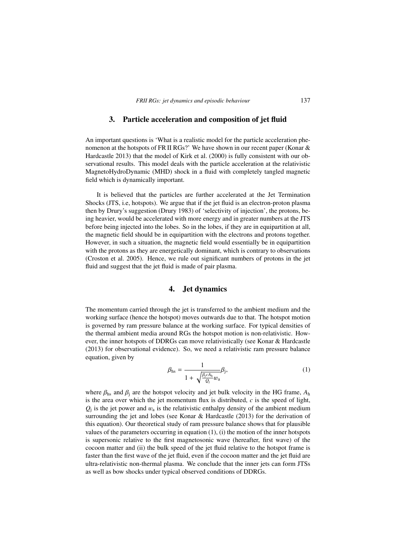# 3. Particle acceleration and composition of jet fluid

An important questions is 'What is a realistic model for the particle acceleration phenomenon at the hotspots of FR II RGs?' We have shown in our recent paper (Konar & Hardcastle 2013) that the model of Kirk et al. (2000) is fully consistent with our observational results. This model deals with the particle acceleration at the relativistic MagnetoHydroDynamic (MHD) shock in a fluid with completely tangled magnetic field which is dynamically important.

It is believed that the particles are further accelerated at the Jet Termination Shocks (JTS, i.e, hotspots). We argue that if the jet fluid is an electron-proton plasma then by Drury's suggestion (Drury 1983) of 'selectivity of injection', the protons, being heavier, would be accelerated with more energy and in greater numbers at the JTS before being injected into the lobes. So in the lobes, if they are in equipartition at all, the magnetic field should be in equipartition with the electrons and protons together. However, in such a situation, the magnetic field would essentially be in equipartition with the protons as they are energetically dominant, which is contrary to observations (Croston et al. 2005). Hence, we rule out significant numbers of protons in the jet fluid and suggest that the jet fluid is made of pair plasma.

#### 4. Jet dynamics

The momentum carried through the jet is transferred to the ambient medium and the working surface (hence the hotspot) moves outwards due to that. The hotspot motion is governed by ram pressure balance at the working surface. For typical densities of the thermal ambient media around RGs the hotspot motion is non-relativistic. However, the inner hotspots of DDRGs can move relativistically (see Konar & Hardcastle (2013) for observational evidence). So, we need a relativistic ram pressure balance equation, given by

$$
\beta_{\text{hs}} = \frac{1}{1 + \sqrt{\frac{\beta_j c A_{\text{h}}}{Q_j} w_a}} \beta_j,
$$
\n(1)

where  $\beta_{\text{hs}}$  and  $\beta_{\text{j}}$  are the hotspot velocity and jet bulk velocity in the HG frame,  $A_{\text{h}}$ is the area over which the jet momentum flux is distributed, *c* is the speed of light,  $Q_i$  is the jet power and  $w_a$  is the relativistic enthalpy density of the ambient medium surrounding the jet and lobes (see Konar & Hardcastle (2013) for the derivation of this equation). Our theoretical study of ram pressure balance shows that for plausible values of the parameters occurring in equation (1), (i) the motion of the inner hotspots is supersonic relative to the first magnetosonic wave (hereafter, first wave) of the cocoon matter and (ii) the bulk speed of the jet fluid relative to the hotspot frame is faster than the first wave of the jet fluid, even if the cocoon matter and the jet fluid are ultra-relativistic non-thermal plasma. We conclude that the inner jets can form JTSs as well as bow shocks under typical observed conditions of DDRGs.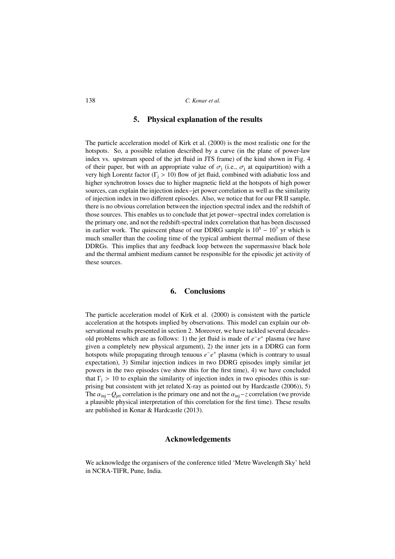138 *C. Konar et al.*

# 5. Physical explanation of the results

The particle acceleration model of Kirk et al. (2000) is the most realistic one for the hotspots. So, a possible relation described by a curve (in the plane of power-law index vs. upstream speed of the jet fluid in JTS frame) of the kind shown in Fig. 4 of their paper, but with an appropriate value of  $\sigma_i$  (i.e.,  $\sigma_i$  at equipartition) with a very high Lorentz factor ( $\Gamma$ <sub>i</sub> > 10) flow of jet fluid, combined with adiabatic loss and higher synchrotron losses due to higher magnetic field at the hotspots of high power sources, can explain the injection index−jet power correlation as well as the similarity of injection index in two different episodes. Also, we notice that for our FR II sample, there is no obvious correlation between the injection spectral index and the redshift of those sources. This enables us to conclude that jet power−spectral index correlation is the primary one, and not the redshift-spectral index correlation that has been discussed in earlier work. The quiescent phase of our DDRG sample is  $10^5 - 10^7$  yr which is much smaller than the cooling time of the typical ambient thermal medium of these DDRGs. This implies that any feedback loop between the supermassive black hole and the thermal ambient medium cannot be responsible for the episodic jet activity of these sources.

# 6. Conclusions

The particle acceleration model of Kirk et al. (2000) is consistent with the particle acceleration at the hotspots implied by observations. This model can explain our observational results presented in section 2. Moreover, we have tackled several decadesold problems which are as follows: 1) the jet fluid is made of  $e^-e^+$  plasma (we have given a completely new physical argument), 2) the inner jets in a DDRG can form hotspots while propagating through tenuous  $e^-e^+$  plasma (which is contrary to usual expectation), 3) Similar injection indices in two DDRG episodes imply similar jet powers in the two episodes (we show this for the first time), 4) we have concluded that  $\Gamma_i > 10$  to explain the similarity of injection index in two episodes (this is surprising but consistent with jet related X-ray as pointed out by Hardcastle (2006)), 5) The  $\alpha_{\rm ini}$ − $Q_{\rm jet}$  correlation is the primary one and not the  $\alpha_{\rm ini}$ −*z* correlation (we provide a plausible physical interpretation of this correlation for the first time). These results are published in Konar & Hardcastle (2013).

#### Acknowledgements

We acknowledge the organisers of the conference titled 'Metre Wavelength Sky' held in NCRA-TIFR, Pune, India.